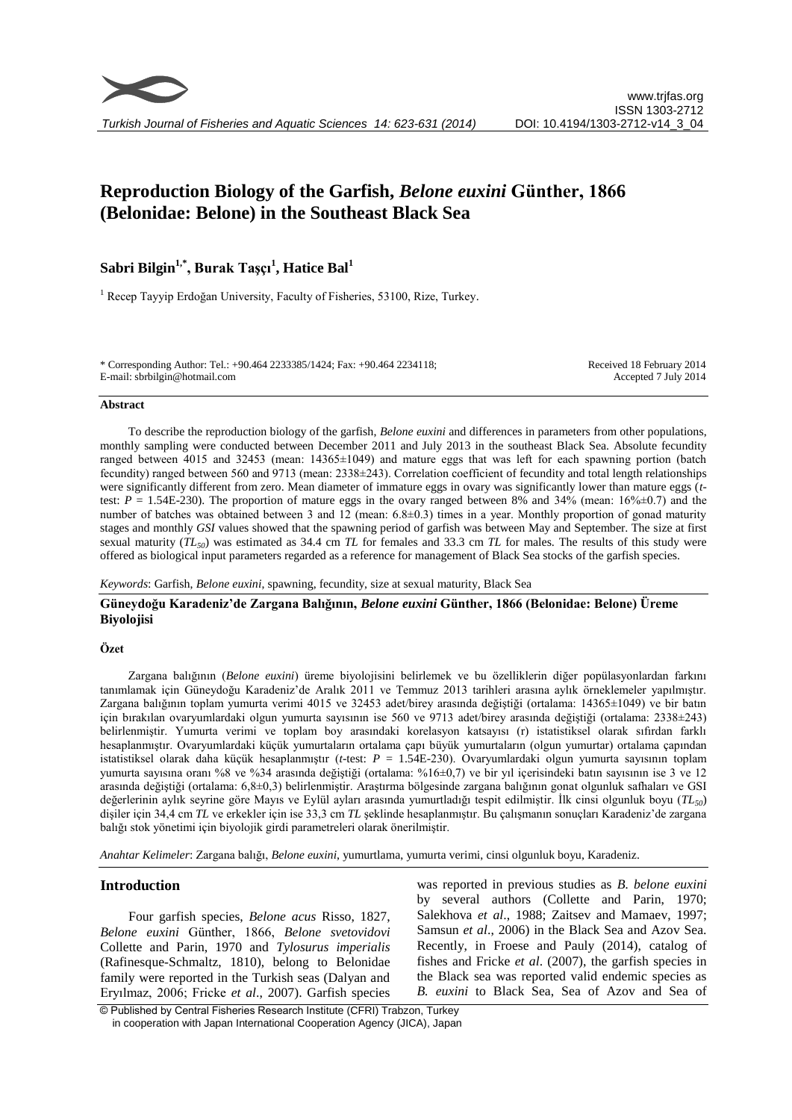

# **Reproduction Biology of the Garfish,** *Belone euxini* **Günther, 1866 (Belonidae: Belone) in the Southeast Black Sea**

# **Sabri Bilgin1,\*, Burak Taşçı<sup>1</sup> , Hatice Bal<sup>1</sup>**

<sup>1</sup> Recep Tayyip Erdoğan University, Faculty of Fisheries, 53100, Rize, Turkey.

\* Corresponding Author: Tel.: +90.464 2233385/1424; Fax: +90.464 2234118; E-mail: sbrbilgin@hotmail.com

Received 18 February 2014 Accepted 7 July 2014

#### **Abstract**

To describe the reproduction biology of the garfish, *Belone euxini* and differences in parameters from other populations, monthly sampling were conducted between December 2011 and July 2013 in the southeast Black Sea. Absolute fecundity ranged between 4015 and 32453 (mean: 14365±1049) and mature eggs that was left for each spawning portion (batch fecundity) ranged between 560 and 9713 (mean: 2338±243). Correlation coefficient of fecundity and total length relationships were significantly different from zero. Mean diameter of immature eggs in ovary was significantly lower than mature eggs (*t*test:  $P = 1.54E-230$ . The proportion of mature eggs in the ovary ranged between 8% and 34% (mean: 16% $\pm$ 0.7) and the number of batches was obtained between 3 and 12 (mean: 6.8±0.3) times in a year. Monthly proportion of gonad maturity stages and monthly *GSI* values showed that the spawning period of garfish was between May and September. The size at first sexual maturity (*TL50*) was estimated as 34.4 cm *TL* for females and 33.3 cm *TL* for males. The results of this study were offered as biological input parameters regarded as a reference for management of Black Sea stocks of the garfish species.

*Keywords*: Garfish, *Belone euxini*, spawning, fecundity, size at sexual maturity, Black Sea

# **Güneydoğu Karadeniz'de Zargana Balığının,** *Belone euxini* **Günther, 1866 (Belonidae: Belone) Üreme Biyolojisi**

# **Özet**

Zargana balığının (*Belone euxini*) üreme biyolojisini belirlemek ve bu özelliklerin diğer popülasyonlardan farkını tanımlamak için Güneydoğu Karadeniz'de Aralık 2011 ve Temmuz 2013 tarihleri arasına aylık örneklemeler yapılmıştır. Zargana balığının toplam yumurta verimi 4015 ve 32453 adet/birey arasında değiştiği (ortalama: 14365±1049) ve bir batın için bırakılan ovaryumlardaki olgun yumurta sayısının ise 560 ve 9713 adet/birey arasında değiştiği (ortalama: 2338±243) belirlenmiştir. Yumurta verimi ve toplam boy arasındaki korelasyon katsayısı (r) istatistiksel olarak sıfırdan farklı hesaplanmıştır. Ovaryumlardaki küçük yumurtaların ortalama çapı büyük yumurtaların (olgun yumurtar) ortalama çapından istatistiksel olarak daha küçük hesaplanmıştır (*t*-test: *P* = 1.54E-230). Ovaryumlardaki olgun yumurta sayısının toplam yumurta sayısına oranı %8 ve %34 arasında değiştiği (ortalama: %16±0,7) ve bir yıl içerisindeki batın sayısının ise 3 ve 12 arasında değiştiği (ortalama: 6,8±0,3) belirlenmiştir. Araştırma bölgesinde zargana balığının gonat olgunluk safhaları ve GSI değerlerinin aylık seyrine göre Mayıs ve Eylül ayları arasında yumurtladığı tespit edilmiştir. İlk cinsi olgunluk boyu (*TL50*) dişiler için 34,4 cm *TL* ve erkekler için ise 33,3 cm *TL* şeklinde hesaplanmıştır. Bu çalışmanın sonuçları Karadeniz'de zargana balığı stok yönetimi için biyolojik girdi parametreleri olarak önerilmiştir.

*Anahtar Kelimeler*: Zargana balığı, *Belone euxini*, yumurtlama, yumurta verimi, cinsi olgunluk boyu, Karadeniz.

# **Introduction**

Four garfish species, *Belone acus* Risso, 1827, *Belone euxini* Günther, 1866, *Belone svetovidovi* Collette and Parin, 1970 and *Tylosurus imperialis* (Rafinesque-Schmaltz, 1810), belong to Belonidae family were reported in the Turkish seas (Dalyan and Eryılmaz, 2006; Fricke *et al*., 2007). Garfish species was reported in previous studies as *B. belone euxini* by several authors (Collette and Parin, 1970; Salekhova *et al*., 1988; Zaitsev and Mamaev, 1997; Samsun *et al*., 2006) in the Black Sea and Azov Sea. Recently, in Froese and Pauly (2014), catalog of fishes and Fricke *et al*. (2007), the garfish species in the Black sea was reported valid endemic species as *B. euxini* to Black Sea, Sea of Azov and Sea of

© Published by Central Fisheries Research Institute (CFRI) Trabzon, Turkey in cooperation with Japan International Cooperation Agency (JICA), Japan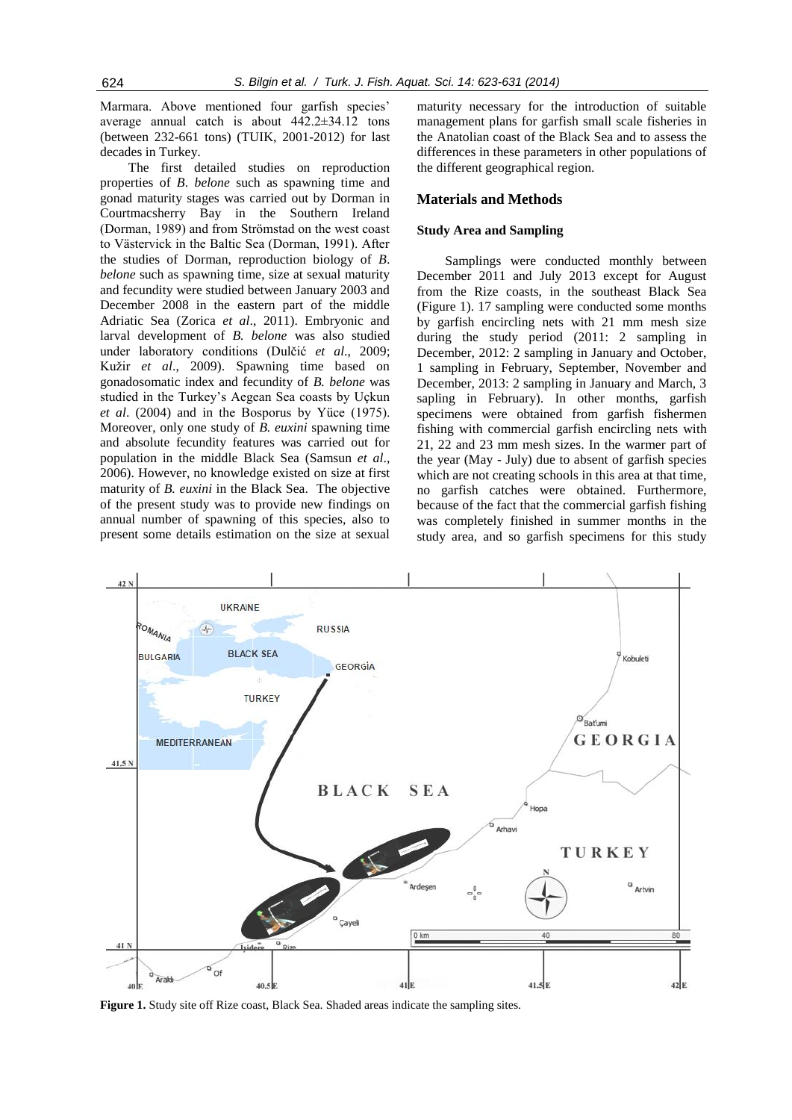Marmara. Above mentioned four garfish species' average annual catch is about 442.2±34.12 tons (between 232-661 tons) (TUIK, 2001-2012) for last decades in Turkey.

The first detailed studies on reproduction properties of *B*. *belone* such as spawning time and gonad maturity stages was carried out by Dorman in Courtmacsherry Bay in the Southern Ireland (Dorman, 1989) and from Strömstad on the west coast to Västervick in the Baltic Sea (Dorman, 1991). After the studies of Dorman, reproduction biology of *B*. *belone* such as spawning time, size at sexual maturity and fecundity were studied between January 2003 and December 2008 in the eastern part of the middle Adriatic Sea (Zorica *et al*., 2011). Embryonic and larval development of *B. belone* was also studied under laboratory conditions (Dulčić *et al*., 2009; Kužir *et al*., 2009). Spawning time based on gonadosomatic index and fecundity of *B. belone* was studied in the Turkey's Aegean Sea coasts by Uçkun *et al*. (2004) and in the Bosporus by Yüce (1975). Moreover, only one study of *B. euxini* spawning time and absolute fecundity features was carried out for population in the middle Black Sea (Samsun *et al*., 2006). However, no knowledge existed on size at first maturity of *B. euxini* in the Black Sea. The objective of the present study was to provide new findings on annual number of spawning of this species, also to present some details estimation on the size at sexual maturity necessary for the introduction of suitable management plans for garfish small scale fisheries in the Anatolian coast of the Black Sea and to assess the differences in these parameters in other populations of the different geographical region.

# **Materials and Methods**

#### **Study Area and Sampling**

Samplings were conducted monthly between December 2011 and July 2013 except for August from the Rize coasts, in the southeast Black Sea (Figure 1). 17 sampling were conducted some months by garfish encircling nets with 21 mm mesh size during the study period (2011: 2 sampling in December, 2012: 2 sampling in January and October, 1 sampling in February, September, November and December, 2013: 2 sampling in January and March, 3 sapling in February). In other months, garfish specimens were obtained from garfish fishermen fishing with commercial garfish encircling nets with 21, 22 and 23 mm mesh sizes. In the warmer part of the year (May - July) due to absent of garfish species which are not creating schools in this area at that time, no garfish catches were obtained. Furthermore, because of the fact that the commercial garfish fishing was completely finished in summer months in the study area, and so garfish specimens for this study



**Figure 1.** Study site off Rize coast, Black Sea. Shaded areas indicate the sampling sites.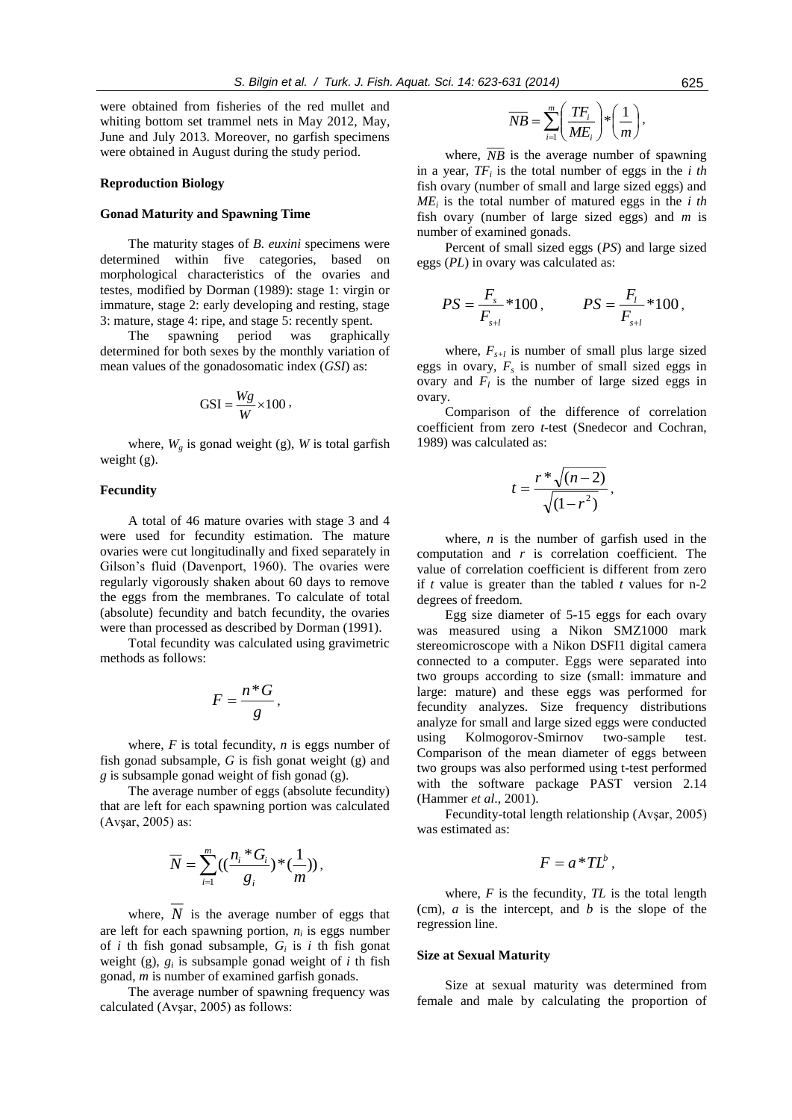were obtained from fisheries of the red mullet and whiting bottom set trammel nets in May 2012, May, June and July 2013. Moreover, no garfish specimens were obtained in August during the study period.

#### **Reproduction Biology**

# **Gonad Maturity and Spawning Time**

The maturity stages of *B. euxini* specimens were determined within five categories, based on morphological characteristics of the ovaries and testes, modified by Dorman (1989): stage 1: virgin or immature, stage 2: early developing and resting, stage 3: mature, stage 4: ripe, and stage 5: recently spent.

The spawning period was graphically determined for both sexes by the monthly variation of mean values of the gonadosomatic index (*GSI*) as:

$$
GSI = \frac{Wg}{W} \times 100,
$$

where,  $W_{\varrho}$  is gonad weight (g), W is total garfish weight (g).

# **Fecundity**

A total of 46 mature ovaries with stage 3 and 4 were used for fecundity estimation. The mature ovaries were cut longitudinally and fixed separately in Gilson's fluid (Davenport, 1960). The ovaries were regularly vigorously shaken about 60 days to remove the eggs from the membranes. To calculate of total (absolute) fecundity and batch fecundity, the ovaries were than processed as described by Dorman (1991).

Total fecundity was calculated using gravimetric methods as follows:

$$
F=\frac{n^*G}{g},
$$

where, *F* is total fecundity, *n* is eggs number of fish gonad subsample, *G* is fish gonat weight (g) and *g* is subsample gonad weight of fish gonad (g).

The average number of eggs (absolute fecundity) that are left for each spawning portion was calculated (Avşar, 2005) as:

$$
\overline{N} = \sum_{i=1}^m \left( \left( \frac{n_i * G_i}{g_i} \right) * \left( \frac{1}{m} \right) \right),
$$

where,  $N$  is the average number of eggs that are left for each spawning portion,  $n_i$  is eggs number of  $i$  th fish gonad subsample,  $G_i$  is  $i$  th fish gonat weight (g),  $g_i$  is subsample gonad weight of *i* th fish gonad, *m* is number of examined garfish gonads.

The average number of spawning frequency was calculated (Avşar, 2005) as follows:

$$
\overline{NB} = \sum_{i=1}^{m} \left( \frac{TF_i}{ME_i} \right) * \left( \frac{1}{m} \right),
$$

where, *NB* is the average number of spawning in a year, *TF<sup>i</sup>* is the total number of eggs in the *i th* fish ovary (number of small and large sized eggs) and *ME<sup>i</sup>* is the total number of matured eggs in the *i th* fish ovary (number of large sized eggs) and *m* is number of examined gonads.

Percent of small sized eggs (*PS*) and large sized eggs (*PL*) in ovary was calculated as:

$$
PS = \frac{F_s}{F_{s+l}} * 100
$$
,  $PS = \frac{F_l}{F_{s+l}} * 100$ ,

where,  $F_{s+l}$  is number of small plus large sized eggs in ovary,  $F_s$  is number of small sized eggs in ovary and  $F_l$  is the number of large sized eggs in ovary.

Comparison of the difference of correlation coefficient from zero *t-*test (Snedecor and Cochran, 1989) was calculated as:

$$
t=\frac{r^*\sqrt{(n-2)}}{\sqrt{(1-r^2)}},
$$

where, *n* is the number of garfish used in the computation and *r* is correlation coefficient. The value of correlation coefficient is different from zero if *t* value is greater than the tabled *t* values for n-2 degrees of freedom.

Egg size diameter of 5-15 eggs for each ovary was measured using a Nikon SMZ1000 mark stereomicroscope with a Nikon DSFI1 digital camera connected to a computer. Eggs were separated into two groups according to size (small: immature and large: mature) and these eggs was performed for fecundity analyzes. Size frequency distributions analyze for small and large sized eggs were conducted using Kolmogorov-Smirnov two-sample test. Comparison of the mean diameter of eggs between two groups was also performed using t-test performed with the software package PAST version 2.14 (Hammer *et al*., 2001).

Fecundity-total length relationship (Avşar, 2005) was estimated as:

$$
F=a*TL^b,
$$

where,  $F$  is the fecundity,  $TL$  is the total length (cm), *a* is the intercept, and *b* is the slope of the regression line.

#### **Size at Sexual Maturity**

Size at sexual maturity was determined from female and male by calculating the proportion of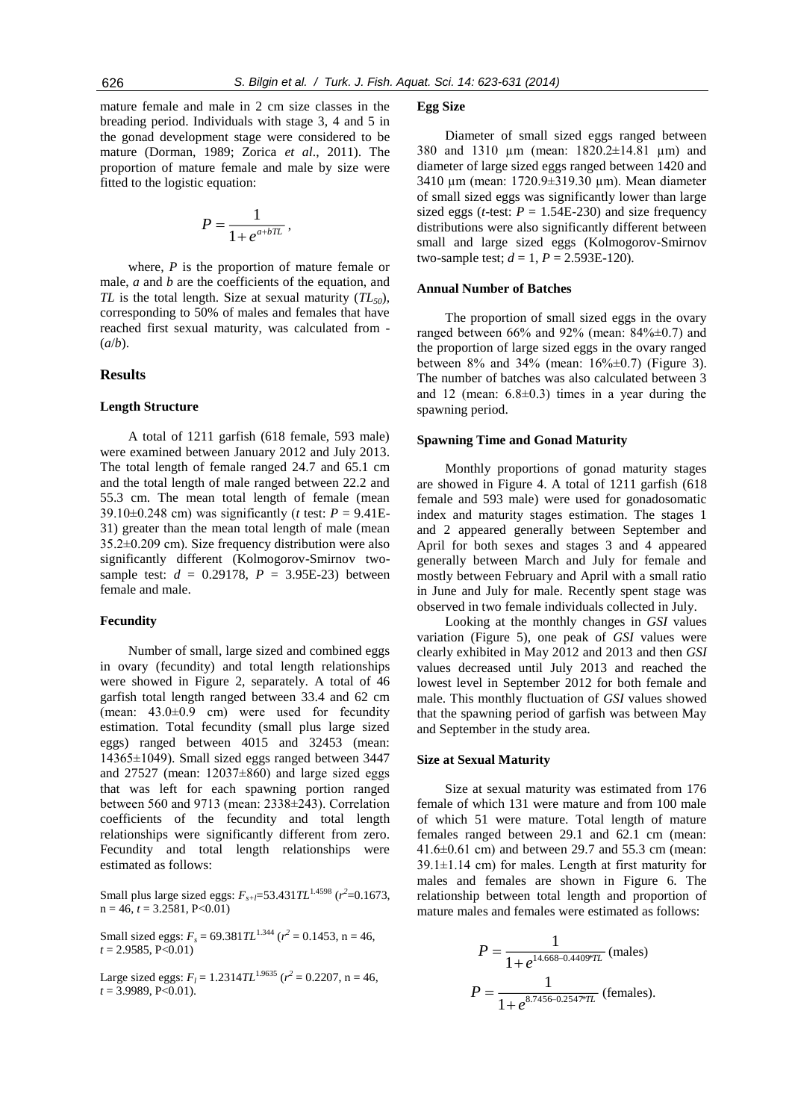mature female and male in 2 cm size classes in the breading period. Individuals with stage 3, 4 and 5 in the gonad development stage were considered to be mature (Dorman, 1989; Zorica *et al*., 2011). The proportion of mature female and male by size were fitted to the logistic equation:

$$
P = \frac{1}{1 + e^{a + bTL}}
$$

,

where, *P* is the proportion of mature female or male, *a* and *b* are the coefficients of the equation, and *TL* is the total length. Size at sexual maturity (*TL50*), corresponding to 50% of males and females that have reached first sexual maturity, was calculated from - (*a*/*b*).

#### **Results**

#### **Length Structure**

A total of 1211 garfish (618 female, 593 male) were examined between January 2012 and July 2013. The total length of female ranged 24.7 and 65.1 cm and the total length of male ranged between 22.2 and 55.3 cm. The mean total length of female (mean 39.10 $\pm$ 0.248 cm) was significantly (*t* test:  $P = 9.41E$ -31) greater than the mean total length of male (mean 35.2±0.209 cm). Size frequency distribution were also significantly different (Kolmogorov-Smirnov twosample test:  $d = 0.29178$ ,  $P = 3.95E-23$ ) between female and male.

#### **Fecundity**

Number of small, large sized and combined eggs in ovary (fecundity) and total length relationships were showed in Figure 2, separately. A total of 46 garfish total length ranged between 33.4 and 62 cm (mean:  $43.0\pm0.9$  cm) were used for fecundity estimation. Total fecundity (small plus large sized eggs) ranged between 4015 and 32453 (mean: 14365±1049). Small sized eggs ranged between 3447 and  $27527$  (mean:  $12037\pm860$ ) and large sized eggs that was left for each spawning portion ranged between 560 and 9713 (mean: 2338±243). Correlation coefficients of the fecundity and total length relationships were significantly different from zero. Fecundity and total length relationships were estimated as follows:

Small plus large sized eggs:  $F_{s+i}$ =53.431 $TL^{1.4598}$  ( $r^2$ =0.1673,  $n = 46$ ,  $t = 3.2581$ , P<0.01)

Small sized eggs:  $F_s = 69.381 \, T L^{1.344}$  ( $r^2 = 0.1453$ , n = 46, *t* = 2.9585, P<0.01)

Large sized eggs:  $F_l = 1.2314TL^{1.9635}$  ( $r^2 = 0.2207$ , n = 46, *t* = 3.9989, P<0.01).

#### **Egg Size**

Diameter of small sized eggs ranged between 380 and 1310 µm (mean: 1820.2±14.81 µm) and diameter of large sized eggs ranged between 1420 and 3410 µm (mean: 1720.9±319.30 µm). Mean diameter of small sized eggs was significantly lower than large sized eggs (*t*-test:  $P = 1.54E-230$ ) and size frequency distributions were also significantly different between small and large sized eggs (Kolmogorov-Smirnov two-sample test;  $d = 1$ ,  $P = 2.593E-120$ .

#### **Annual Number of Batches**

The proportion of small sized eggs in the ovary ranged between  $66\%$  and  $92\%$  (mean:  $84\% \pm 0.7$ ) and the proportion of large sized eggs in the ovary ranged between 8% and 34% (mean: 16%±0.7) (Figure 3). The number of batches was also calculated between 3 and 12 (mean:  $6.8\pm0.3$ ) times in a year during the spawning period.

#### **Spawning Time and Gonad Maturity**

Monthly proportions of gonad maturity stages are showed in Figure 4. A total of 1211 garfish (618 female and 593 male) were used for gonadosomatic index and maturity stages estimation. The stages 1 and 2 appeared generally between September and April for both sexes and stages 3 and 4 appeared generally between March and July for female and mostly between February and April with a small ratio in June and July for male. Recently spent stage was observed in two female individuals collected in July.

Looking at the monthly changes in *GSI* values variation (Figure 5), one peak of *GSI* values were clearly exhibited in May 2012 and 2013 and then *GSI* values decreased until July 2013 and reached the lowest level in September 2012 for both female and male. This monthly fluctuation of *GSI* values showed that the spawning period of garfish was between May and September in the study area.

#### **Size at Sexual Maturity**

Size at sexual maturity was estimated from 176 female of which 131 were mature and from 100 male of which 51 were mature. Total length of mature females ranged between 29.1 and 62.1 cm (mean: 41.6±0.61 cm) and between 29.7 and 55.3 cm (mean:  $39.1 \pm 1.14$  cm) for males. Length at first maturity for males and females are shown in Figure 6. The relationship between total length and proportion of mature males and females were estimated as follows:

$$
P = \frac{1}{1 + e^{14.668 - 0.4409^{\circ}TL}}
$$
 (males)  

$$
P = \frac{1}{1 + e^{8.7456 - 0.254^{\circ}TL}}
$$
 (females).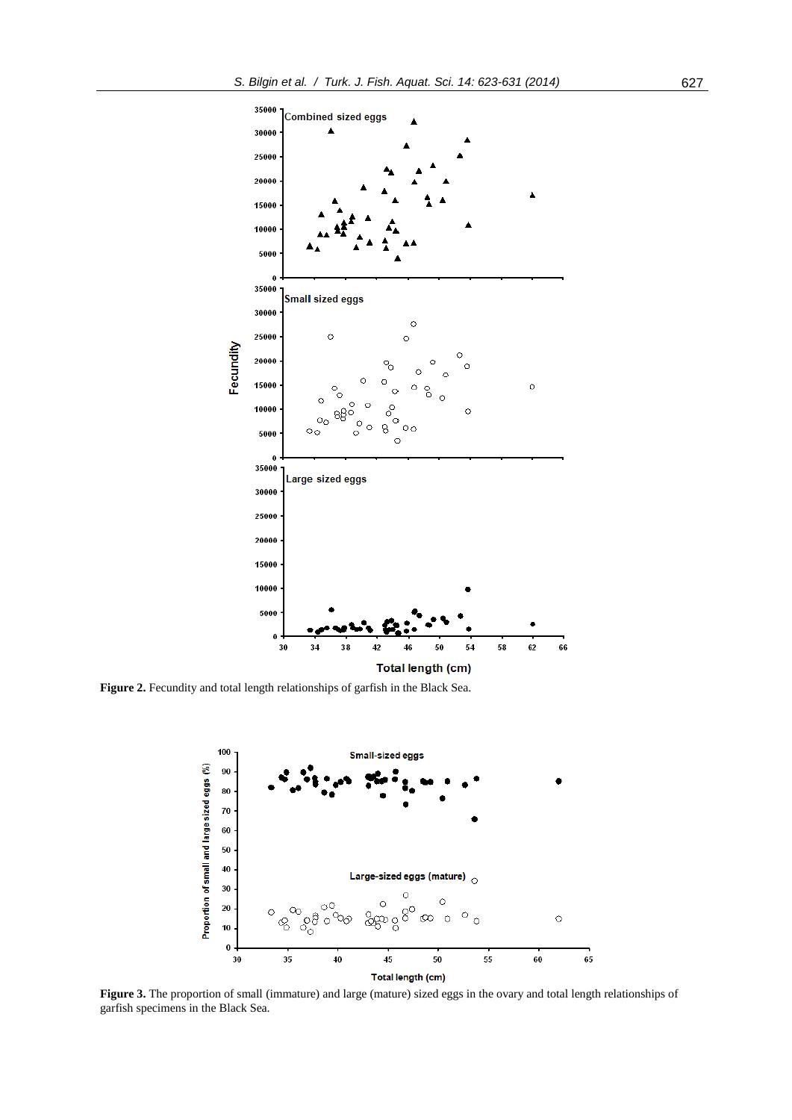

Figure 2. Fecundity and total length relationships of garfish in the Black Sea.



**Figure 3.** The proportion of small (immature) and large (mature) sized eggs in the ovary and total length relationships of garfish specimens in the Black Sea.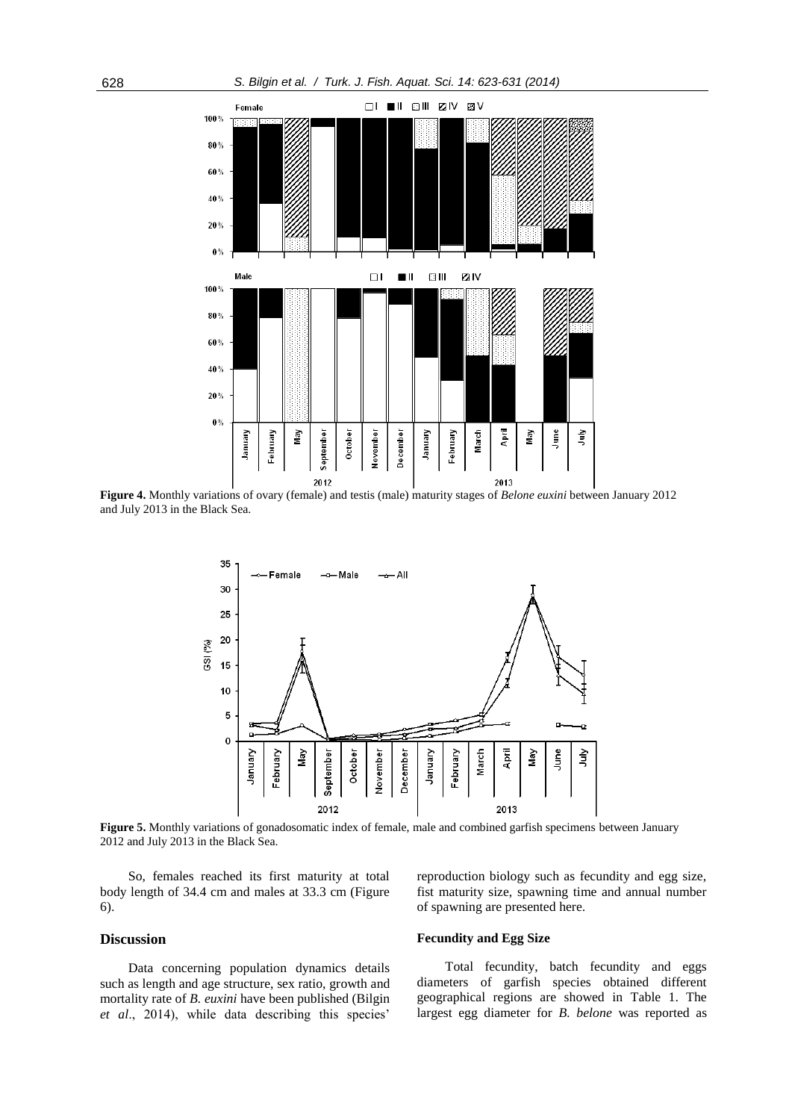

**Figure 4.** Monthly variations of ovary (female) and testis (male) maturity stages of *Belone euxini* between January 2012 and July 2013 in the Black Sea.



**Figure 5.** Monthly variations of gonadosomatic index of female, male and combined garfish specimens between January 2012 and July 2013 in the Black Sea.

So, females reached its first maturity at total body length of 34.4 cm and males at 33.3 cm (Figure 6).

# **Discussion**

Data concerning population dynamics details such as length and age structure, sex ratio, growth and mortality rate of *B. euxini* have been published (Bilgin *et al*., 2014), while data describing this species'

reproduction biology such as fecundity and egg size, fist maturity size, spawning time and annual number of spawning are presented here.

# **Fecundity and Egg Size**

Total fecundity, batch fecundity and eggs diameters of garfish species obtained different geographical regions are showed in Table 1. The largest egg diameter for *B. belone* was reported as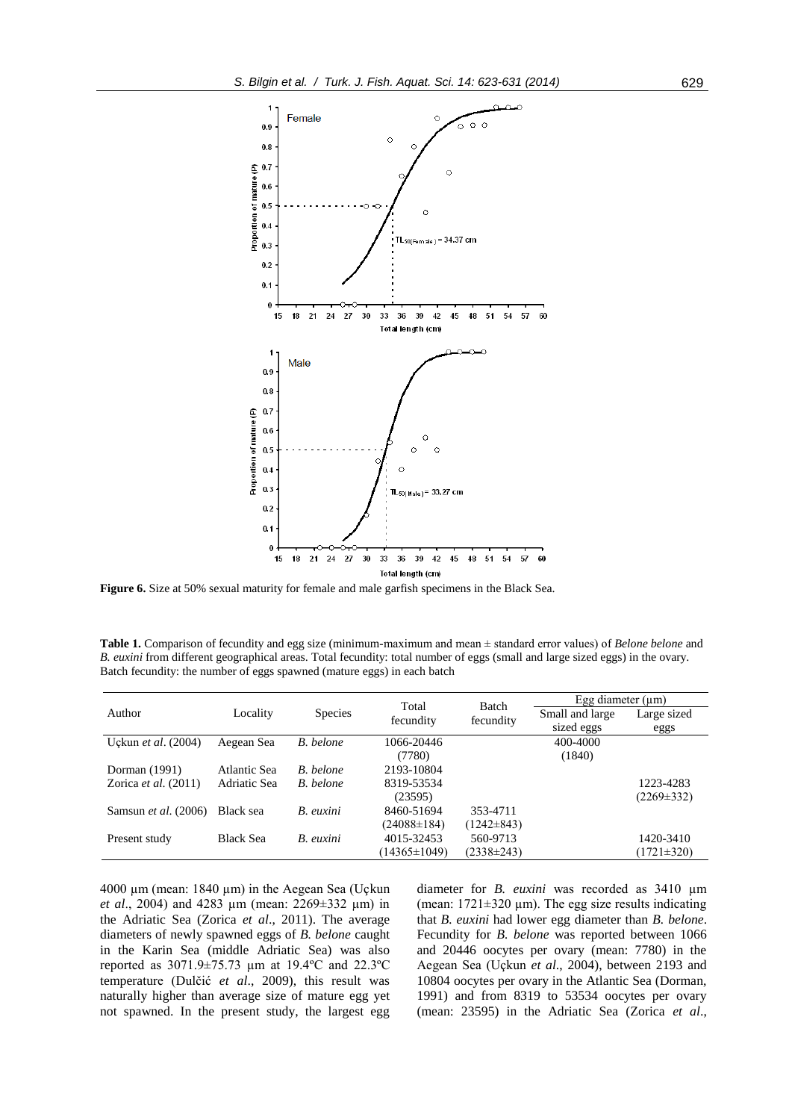

**Figure 6.** Size at 50% sexual maturity for female and male garfish specimens in the Black Sea.

**Table 1.** Comparison of fecundity and egg size (minimum-maximum and mean ± standard error values) of *Belone belone* and *B. euxini* from different geographical areas. Total fecundity: total number of eggs (small and large sized eggs) in the ovary. Batch fecundity: the number of eggs spawned (mature eggs) in each batch

| Author                      | Locality         | <b>Species</b> | Total<br>fecundity | Batch<br>fecundity | Egg diameter $(\mu m)$ |                  |
|-----------------------------|------------------|----------------|--------------------|--------------------|------------------------|------------------|
|                             |                  |                |                    |                    | Small and large        | Large sized      |
|                             |                  |                |                    |                    | sized eggs             | eggs             |
| Uckun et al. (2004)         | Aegean Sea       | B. belone      | 1066-20446         |                    | 400-4000               |                  |
|                             |                  |                | (7780)             |                    | (1840)                 |                  |
| Dorman (1991)               | Atlantic Sea     | B. belone      | 2193-10804         |                    |                        |                  |
| Zorica et al. $(2011)$      | Adriatic Sea     | B. belone      | 8319-53534         |                    |                        | 1223-4283        |
|                             |                  |                | (23595)            |                    |                        | $(2269 \pm 332)$ |
| Samsun <i>et al.</i> (2006) | Black sea        | B. euxini      | 8460-51694         | 353-4711           |                        |                  |
|                             |                  |                | $(24088 \pm 184)$  | $(1242 \pm 843)$   |                        |                  |
| Present study               | <b>Black Sea</b> | B. euxini      | 4015-32453         | 560-9713           |                        | 1420-3410        |
|                             |                  |                | $(14365 \pm 1049)$ | $(2338\pm 243)$    |                        | $(1721 \pm 320)$ |

4000 µm (mean: 1840 µm) in the Aegean Sea (Uçkun *et al*., 2004) and 4283 µm (mean: 2269±332 µm) in the Adriatic Sea (Zorica *et al*., 2011). The average diameters of newly spawned eggs of *B. belone* caught in the Karin Sea (middle Adriatic Sea) was also reported as 3071.9±75.73 µm at 19.4ºC and 22.3ºC temperature (Dulčić *et al*., 2009), this result was naturally higher than average size of mature egg yet not spawned. In the present study, the largest egg diameter for *B. euxini* was recorded as 3410 µm (mean:  $1721 \pm 320 \mu m$ ). The egg size results indicating that *B. euxini* had lower egg diameter than *B. belone*. Fecundity for *B. belone* was reported between 1066 and 20446 oocytes per ovary (mean: 7780) in the Aegean Sea (Uçkun *et al*., 2004), between 2193 and 10804 oocytes per ovary in the Atlantic Sea (Dorman, 1991) and from 8319 to 53534 oocytes per ovary (mean: 23595) in the Adriatic Sea (Zorica *et al*.,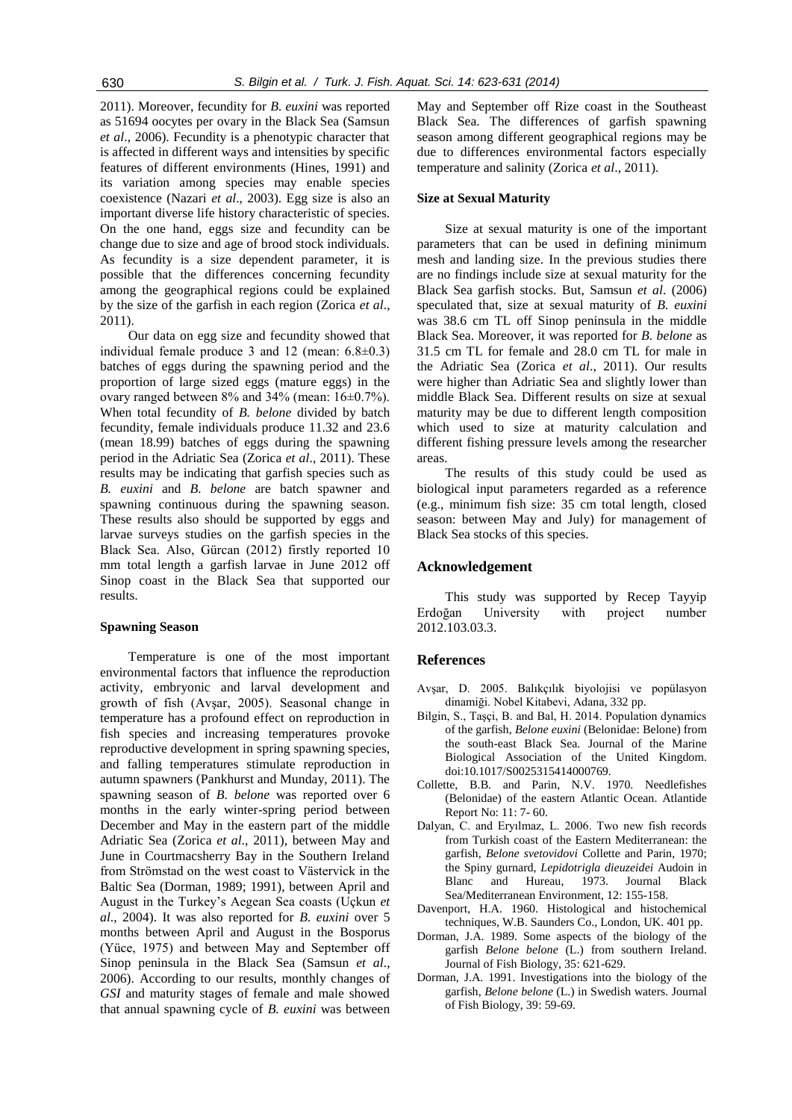2011). Moreover, fecundity for *B. euxini* was reported as 51694 oocytes per ovary in the Black Sea (Samsun *et al*., 2006). Fecundity is a phenotypic character that is affected in different ways and intensities by specific features of different environments (Hines, 1991) and its variation among species may enable species coexistence (Nazari *et al*., 2003). Egg size is also an important diverse life history characteristic of species. On the one hand, eggs size and fecundity can be change due to size and age of brood stock individuals. As fecundity is a size dependent parameter, it is possible that the differences concerning fecundity among the geographical regions could be explained by the size of the garfish in each region (Zorica *et al*., 2011).

Our data on egg size and fecundity showed that individual female produce 3 and 12 (mean:  $6.8\pm0.3$ ) batches of eggs during the spawning period and the proportion of large sized eggs (mature eggs) in the ovary ranged between 8% and 34% (mean: 16±0.7%). When total fecundity of *B. belone* divided by batch fecundity, female individuals produce 11.32 and 23.6 (mean 18.99) batches of eggs during the spawning period in the Adriatic Sea (Zorica *et al*., 2011). These results may be indicating that garfish species such as *B. euxini* and *B. belone* are batch spawner and spawning continuous during the spawning season. These results also should be supported by eggs and larvae surveys studies on the garfish species in the Black Sea. Also, Gürcan (2012) firstly reported 10 mm total length a garfish larvae in June 2012 off Sinop coast in the Black Sea that supported our results.

### **Spawning Season**

Temperature is one of the most important environmental factors that influence the reproduction activity, embryonic and larval development and growth of fish (Avşar, 2005). Seasonal change in temperature has a profound effect on reproduction in fish species and increasing temperatures provoke reproductive development in spring spawning species, and falling temperatures stimulate reproduction in autumn spawners (Pankhurst and Munday, 2011). The spawning season of *B. belone* was reported over 6 months in the early winter-spring period between December and May in the eastern part of the middle Adriatic Sea (Zorica *et al*., 2011), between May and June in Courtmacsherry Bay in the Southern Ireland from Strömstad on the west coast to Västervick in the Baltic Sea (Dorman, 1989; 1991), between April and August in the Turkey's Aegean Sea coasts (Uçkun *et al*., 2004). It was also reported for *B. euxini* over 5 months between April and August in the Bosporus (Yüce, 1975) and between May and September off Sinop peninsula in the Black Sea (Samsun *et al*., 2006). According to our results, monthly changes of *GSI* and maturity stages of female and male showed that annual spawning cycle of *B. euxini* was between

May and September off Rize coast in the Southeast Black Sea. The differences of garfish spawning season among different geographical regions may be due to differences environmental factors especially temperature and salinity (Zorica *et al*., 2011).

#### **Size at Sexual Maturity**

Size at sexual maturity is one of the important parameters that can be used in defining minimum mesh and landing size. In the previous studies there are no findings include size at sexual maturity for the Black Sea garfish stocks. But, Samsun *et al*. (2006) speculated that, size at sexual maturity of *B. euxini* was 38.6 cm TL off Sinop peninsula in the middle Black Sea. Moreover, it was reported for *B. belone* as 31.5 cm TL for female and 28.0 cm TL for male in the Adriatic Sea (Zorica *et al*., 2011). Our results were higher than Adriatic Sea and slightly lower than middle Black Sea. Different results on size at sexual maturity may be due to different length composition which used to size at maturity calculation and different fishing pressure levels among the researcher areas.

The results of this study could be used as biological input parameters regarded as a reference (e.g., minimum fish size: 35 cm total length, closed season: between May and July) for management of Black Sea stocks of this species.

#### **Acknowledgement**

This study was supported by Recep Tayyip Erdoğan University with project number 2012.103.03.3.

### **References**

- Avşar, D. 2005. Balıkçılık biyolojisi ve popülasyon dinamiği. Nobel Kitabevi, Adana, 332 pp.
- Bilgin, S., Taşçi, B. and Bal, H. 2014. Population dynamics of the garfish, *Belone euxini* (Belonidae: Belone) from the south-east Black Sea. Journal of the Marine Biological Association of the United Kingdom. doi:10.1017/S0025315414000769.
- Collette, B.B. and Parin, N.V. 1970. Needlefishes (Belonidae) of the eastern Atlantic Ocean. Atlantide Report No: 11: 7- 60.
- Dalyan, C. and Eryılmaz, L. 2006. Two new fish records from Turkish coast of the Eastern Mediterranean: the garfish, *Belone svetovidovi* Collette and Parin, 1970; the Spiny gurnard, *Lepidotrigla dieuzeidei* Audoin in Blanc and Hureau, 1973. Journal Black Sea/Mediterranean Environment, 12: 155-158.
- Davenport, H.A. 1960. Histological and histochemical techniques, W.B. Saunders Co., London, UK. 401 pp.
- Dorman, J.A. 1989. Some aspects of the biology of the garfish *Belone belone* (L.) from southern Ireland. Journal of Fish Biology, 35: 621-629.
- Dorman, J.A. 1991. Investigations into the biology of the garfish, *Belone belone* (L.) in Swedish waters. Journal of Fish Biology, 39: 59-69.